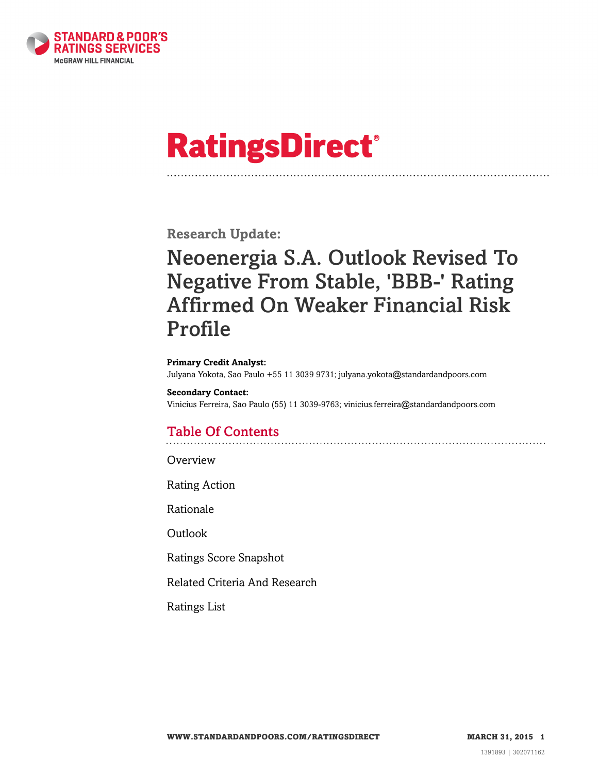

# **RatingsDirect®**

**Research Update:**

# Neoenergia S.A. Outlook Revised To Negative From Stable, 'BBB-' Rating Affirmed On Weaker Financial Risk Profile

#### **Primary Credit Analyst:**

Julyana Yokota, Sao Paulo +55 11 3039 9731; julyana.yokota@standardandpoors.com

# **Secondary Contact:**

Vinicius Ferreira, Sao Paulo (55) 11 3039-9763; vinicius.ferreira@standardandpoors.com

# Table Of Contents

**[Overview](#page-1-0)** 

[Rating Action](#page-1-1)

[Rationale](#page-1-2)

[Outlook](#page-4-0)

[Ratings Score Snapshot](#page-4-1)

[Related Criteria And Research](#page-5-0)

[Ratings List](#page-5-1)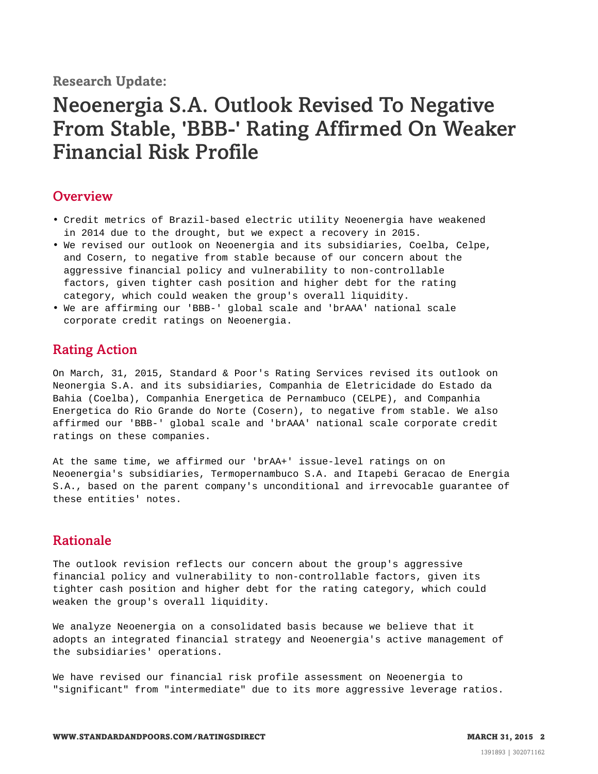### <span id="page-1-0"></span>**Overview**

- Credit metrics of Brazil-based electric utility Neoenergia have weakened in 2014 due to the drought, but we expect a recovery in 2015.
- We revised our outlook on Neoenergia and its subsidiaries, Coelba, Celpe, and Cosern, to negative from stable because of our concern about the aggressive financial policy and vulnerability to non-controllable factors, given tighter cash position and higher debt for the rating category, which could weaken the group's overall liquidity.
- <span id="page-1-1"></span>• We are affirming our 'BBB-' global scale and 'brAAA' national scale corporate credit ratings on Neoenergia.

# Rating Action

On March, 31, 2015, Standard & Poor's Rating Services revised its outlook on Neonergia S.A. and its subsidiaries, Companhia de Eletricidade do Estado da Bahia (Coelba), Companhia Energetica de Pernambuco (CELPE), and Companhia Energetica do Rio Grande do Norte (Cosern), to negative from stable. We also affirmed our 'BBB-' global scale and 'brAAA' national scale corporate credit ratings on these companies.

At the same time, we affirmed our 'brAA+' issue-level ratings on on Neoenergia's subsidiaries, Termopernambuco S.A. and Itapebi Geracao de Energia S.A., based on the parent company's unconditional and irrevocable guarantee of these entities' notes.

# <span id="page-1-2"></span>Rationale

The outlook revision reflects our concern about the group's aggressive financial policy and vulnerability to non-controllable factors, given its tighter cash position and higher debt for the rating category, which could weaken the group's overall liquidity.

We analyze Neoenergia on a consolidated basis because we believe that it adopts an integrated financial strategy and Neoenergia's active management of the subsidiaries' operations.

We have revised our financial risk profile assessment on Neoenergia to "significant" from "intermediate" due to its more aggressive leverage ratios.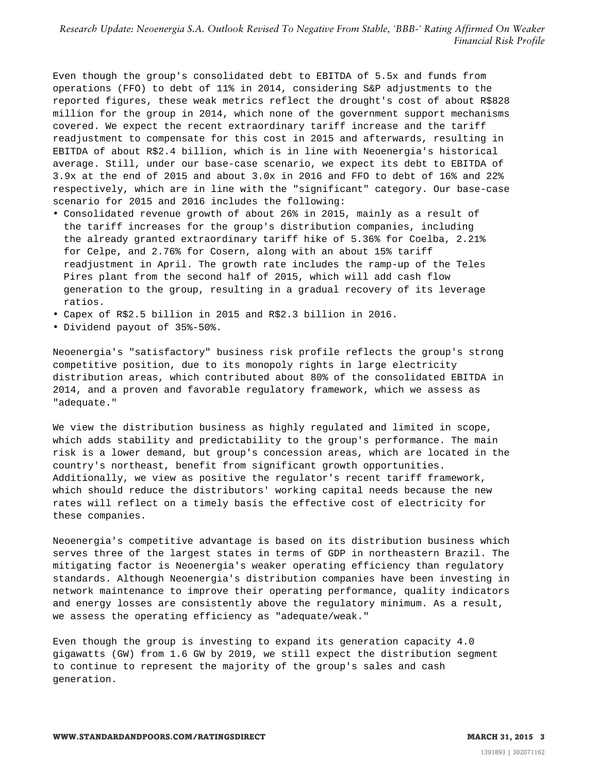Even though the group's consolidated debt to EBITDA of 5.5x and funds from operations (FFO) to debt of 11% in 2014, considering S&P adjustments to the reported figures, these weak metrics reflect the drought's cost of about R\$828 million for the group in 2014, which none of the government support mechanisms covered. We expect the recent extraordinary tariff increase and the tariff readjustment to compensate for this cost in 2015 and afterwards, resulting in EBITDA of about R\$2.4 billion, which is in line with Neoenergia's historical average. Still, under our base-case scenario, we expect its debt to EBITDA of 3.9x at the end of 2015 and about 3.0x in 2016 and FFO to debt of 16% and 22% respectively, which are in line with the "significant" category. Our base-case scenario for 2015 and 2016 includes the following:

- Consolidated revenue growth of about 26% in 2015, mainly as a result of the tariff increases for the group's distribution companies, including the already granted extraordinary tariff hike of 5.36% for Coelba, 2.21% for Celpe, and 2.76% for Cosern, along with an about 15% tariff readjustment in April. The growth rate includes the ramp-up of the Teles Pires plant from the second half of 2015, which will add cash flow generation to the group, resulting in a gradual recovery of its leverage ratios.
- Capex of R\$2.5 billion in 2015 and R\$2.3 billion in 2016.
- Dividend payout of 35%-50%.

Neoenergia's "satisfactory" business risk profile reflects the group's strong competitive position, due to its monopoly rights in large electricity distribution areas, which contributed about 80% of the consolidated EBITDA in 2014, and a proven and favorable regulatory framework, which we assess as "adequate."

We view the distribution business as highly regulated and limited in scope, which adds stability and predictability to the group's performance. The main risk is a lower demand, but group's concession areas, which are located in the country's northeast, benefit from significant growth opportunities. Additionally, we view as positive the regulator's recent tariff framework, which should reduce the distributors' working capital needs because the new rates will reflect on a timely basis the effective cost of electricity for these companies.

Neoenergia's competitive advantage is based on its distribution business which serves three of the largest states in terms of GDP in northeastern Brazil. The mitigating factor is Neoenergia's weaker operating efficiency than regulatory standards. Although Neoenergia's distribution companies have been investing in network maintenance to improve their operating performance, quality indicators and energy losses are consistently above the regulatory minimum. As a result, we assess the operating efficiency as "adequate/weak."

Even though the group is investing to expand its generation capacity 4.0 gigawatts (GW) from 1.6 GW by 2019, we still expect the distribution segment to continue to represent the majority of the group's sales and cash generation.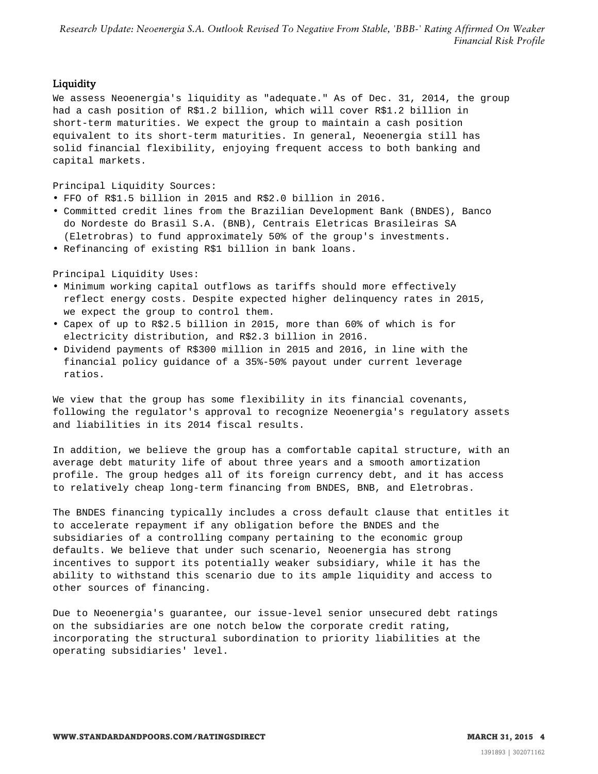#### **Liquidity**

We assess Neoenergia's liquidity as "adequate." As of Dec. 31, 2014, the group had a cash position of R\$1.2 billion, which will cover R\$1.2 billion in short-term maturities. We expect the group to maintain a cash position equivalent to its short-term maturities. In general, Neoenergia still has solid financial flexibility, enjoying frequent access to both banking and capital markets.

Principal Liquidity Sources:

- FFO of R\$1.5 billion in 2015 and R\$2.0 billion in 2016.
- Committed credit lines from the Brazilian Development Bank (BNDES), Banco do Nordeste do Brasil S.A. (BNB), Centrais Eletricas Brasileiras SA (Eletrobras) to fund approximately 50% of the group's investments.
- Refinancing of existing R\$1 billion in bank loans.

Principal Liquidity Uses:

- Minimum working capital outflows as tariffs should more effectively reflect energy costs. Despite expected higher delinquency rates in 2015, we expect the group to control them.
- Capex of up to R\$2.5 billion in 2015, more than 60% of which is for electricity distribution, and R\$2.3 billion in 2016.
- Dividend payments of R\$300 million in 2015 and 2016, in line with the financial policy guidance of a 35%-50% payout under current leverage ratios.

We view that the group has some flexibility in its financial covenants, following the regulator's approval to recognize Neoenergia's regulatory assets and liabilities in its 2014 fiscal results.

In addition, we believe the group has a comfortable capital structure, with an average debt maturity life of about three years and a smooth amortization profile. The group hedges all of its foreign currency debt, and it has access to relatively cheap long-term financing from BNDES, BNB, and Eletrobras.

The BNDES financing typically includes a cross default clause that entitles it to accelerate repayment if any obligation before the BNDES and the subsidiaries of a controlling company pertaining to the economic group defaults. We believe that under such scenario, Neoenergia has strong incentives to support its potentially weaker subsidiary, while it has the ability to withstand this scenario due to its ample liquidity and access to other sources of financing.

Due to Neoenergia's guarantee, our issue-level senior unsecured debt ratings on the subsidiaries are one notch below the corporate credit rating, incorporating the structural subordination to priority liabilities at the operating subsidiaries' level.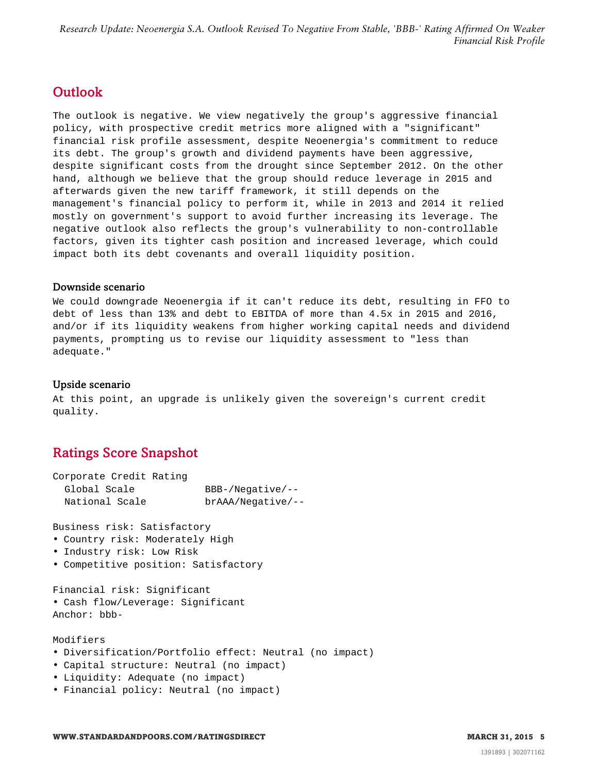# <span id="page-4-0"></span>**Outlook**

The outlook is negative. We view negatively the group's aggressive financial policy, with prospective credit metrics more aligned with a "significant" financial risk profile assessment, despite Neoenergia's commitment to reduce its debt. The group's growth and dividend payments have been aggressive, despite significant costs from the drought since September 2012. On the other hand, although we believe that the group should reduce leverage in 2015 and afterwards given the new tariff framework, it still depends on the management's financial policy to perform it, while in 2013 and 2014 it relied mostly on government's support to avoid further increasing its leverage. The negative outlook also reflects the group's vulnerability to non-controllable factors, given its tighter cash position and increased leverage, which could impact both its debt covenants and overall liquidity position.

#### Downside scenario

We could downgrade Neoenergia if it can't reduce its debt, resulting in FFO to debt of less than 13% and debt to EBITDA of more than 4.5x in 2015 and 2016, and/or if its liquidity weakens from higher working capital needs and dividend payments, prompting us to revise our liquidity assessment to "less than adequate."

#### Upside scenario

At this point, an upgrade is unlikely given the sovereign's current credit quality.

# <span id="page-4-1"></span>Ratings Score Snapshot

| Corporate Credit Rating |                     |
|-------------------------|---------------------|
| Global Scale            | $BBB-/Neqative/--$  |
| National Scale          | $brAAA/Neqative/--$ |

Business risk: Satisfactory

- Country risk: Moderately High
- Industry risk: Low Risk
- Competitive position: Satisfactory

Financial risk: Significant • Cash flow/Leverage: Significant Anchor: bbb-

#### Modifiers

- Diversification/Portfolio effect: Neutral (no impact)
- Capital structure: Neutral (no impact)
- Liquidity: Adequate (no impact)
- Financial policy: Neutral (no impact)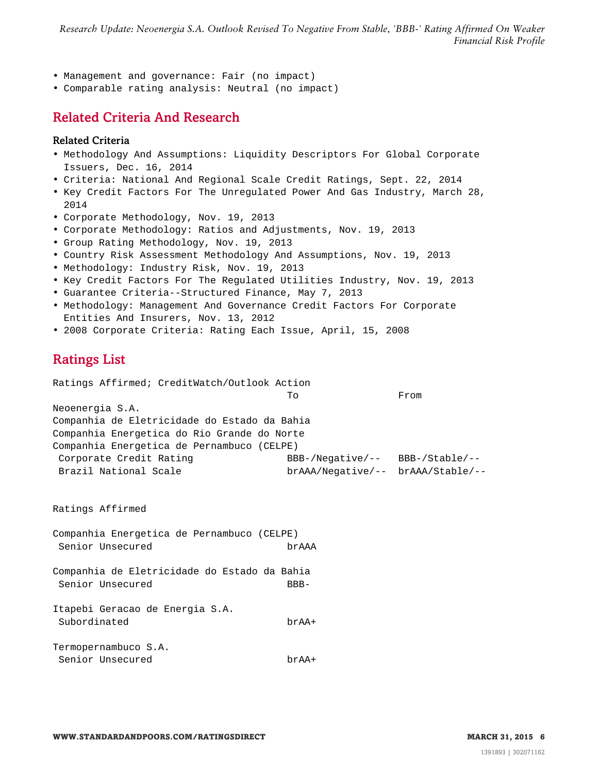- Management and governance: Fair (no impact)
- <span id="page-5-0"></span>• Comparable rating analysis: Neutral (no impact)

# Related Criteria And Research

#### Related Criteria

- Methodology And Assumptions: Liquidity Descriptors For Global Corporate Issuers, Dec. 16, 2014
- Criteria: National And Regional Scale Credit Ratings, Sept. 22, 2014
- Key Credit Factors For The Unregulated Power And Gas Industry, March 28, 2014
- Corporate Methodology, Nov. 19, 2013
- Corporate Methodology: Ratios and Adjustments, Nov. 19, 2013
- Group Rating Methodology, Nov. 19, 2013
- Country Risk Assessment Methodology And Assumptions, Nov. 19, 2013
- Methodology: Industry Risk, Nov. 19, 2013
- Key Credit Factors For The Regulated Utilities Industry, Nov. 19, 2013
- Guarantee Criteria--Structured Finance, May 7, 2013
- Methodology: Management And Governance Credit Factors For Corporate Entities And Insurers, Nov. 13, 2012
- <span id="page-5-1"></span>• 2008 Corporate Criteria: Rating Each Issue, April, 15, 2008

### Ratings List

Ratings Affirmed; CreditWatch/Outlook Action

To From Neoenergia S.A. Companhia de Eletricidade do Estado da Bahia Companhia Energetica do Rio Grande do Norte Companhia Energetica de Pernambuco (CELPE) Corporate Credit Rating BBB-/Negative/-- BBB-/Stable/-- Brazil National Scale brAAA/Negative/-- brAAA/Stable/--

Ratings Affirmed

Companhia Energetica de Pernambuco (CELPE) Senior Unsecured brAAA

Companhia de Eletricidade do Estado da Bahia Senior Unsecured BBB-

Itapebi Geracao de Energia S.A. Subordinated brAA+

Termopernambuco S.A. Senior Unsecured brAA+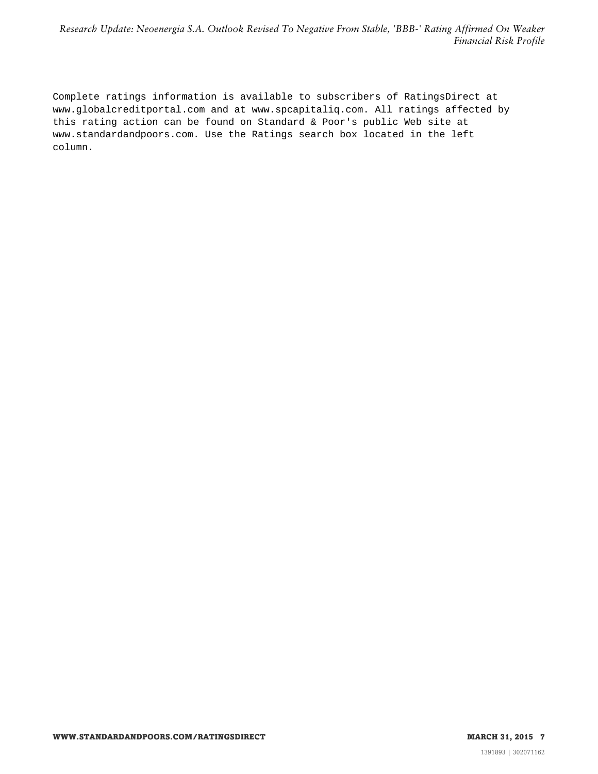Complete ratings information is available to subscribers of RatingsDirect at www.globalcreditportal.com and at www.spcapitaliq.com. All ratings affected by this rating action can be found on Standard & Poor's public Web site at www.standardandpoors.com. Use the Ratings search box located in the left column.